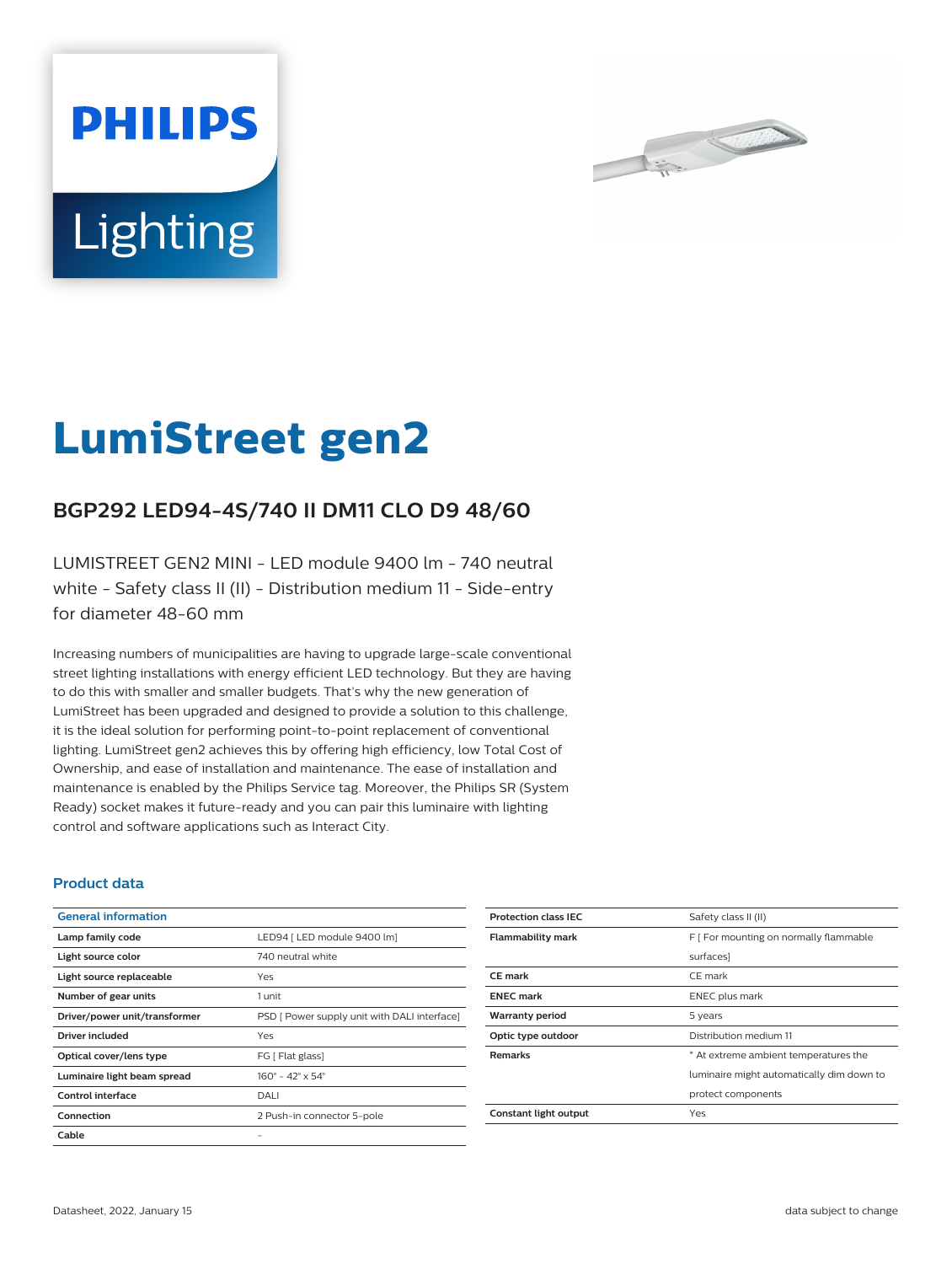



# **LumiStreet gen2**

## **BGP292 LED94-4S/740 II DM11 CLO D9 48/60**

LUMISTREET GEN2 MINI - LED module 9400 lm - 740 neutral white - Safety class II (II) - Distribution medium 11 - Side-entry for diameter 48-60 mm

Increasing numbers of municipalities are having to upgrade large-scale conventional street lighting installations with energy efficient LED technology. But they are having to do this with smaller and smaller budgets. That's why the new generation of LumiStreet has been upgraded and designed to provide a solution to this challenge, it is the ideal solution for performing point-to-point replacement of conventional lighting. LumiStreet gen2 achieves this by offering high efficiency, low Total Cost of Ownership, and ease of installation and maintenance. The ease of installation and maintenance is enabled by the Philips Service tag. Moreover, the Philips SR (System Ready) socket makes it future-ready and you can pair this luminaire with lighting control and software applications such as Interact City.

#### **Product data**

| <b>General information</b>    |                                              |
|-------------------------------|----------------------------------------------|
| Lamp family code              | LED94   LED module 9400 lm]                  |
| Light source color            | 740 neutral white                            |
| Light source replaceable      | Yes                                          |
| Number of gear units          | 1 unit                                       |
| Driver/power unit/transformer | PSD [ Power supply unit with DALI interface] |
| Driver included               | Yes                                          |
| Optical cover/lens type       | FG [ Flat glass]                             |
| Luminaire light beam spread   | $160^{\circ} - 42^{\circ} \times 54^{\circ}$ |
| Control interface             | DALI                                         |
| Connection                    | 2 Push-in connector 5-pole                   |
| Cable                         |                                              |

| <b>Protection class IEC</b> | Safety class II (II)                      |
|-----------------------------|-------------------------------------------|
| <b>Flammability mark</b>    | F [ For mounting on normally flammable    |
|                             | surfaces]                                 |
| <b>CE</b> mark              | CE mark                                   |
| <b>ENEC</b> mark            | <b>ENEC</b> plus mark                     |
| <b>Warranty period</b>      | 5 years                                   |
| Optic type outdoor          | Distribution medium 11                    |
| <b>Remarks</b>              | * At extreme ambient temperatures the     |
|                             | luminaire might automatically dim down to |
|                             | protect components                        |
| Constant light output       | Yes                                       |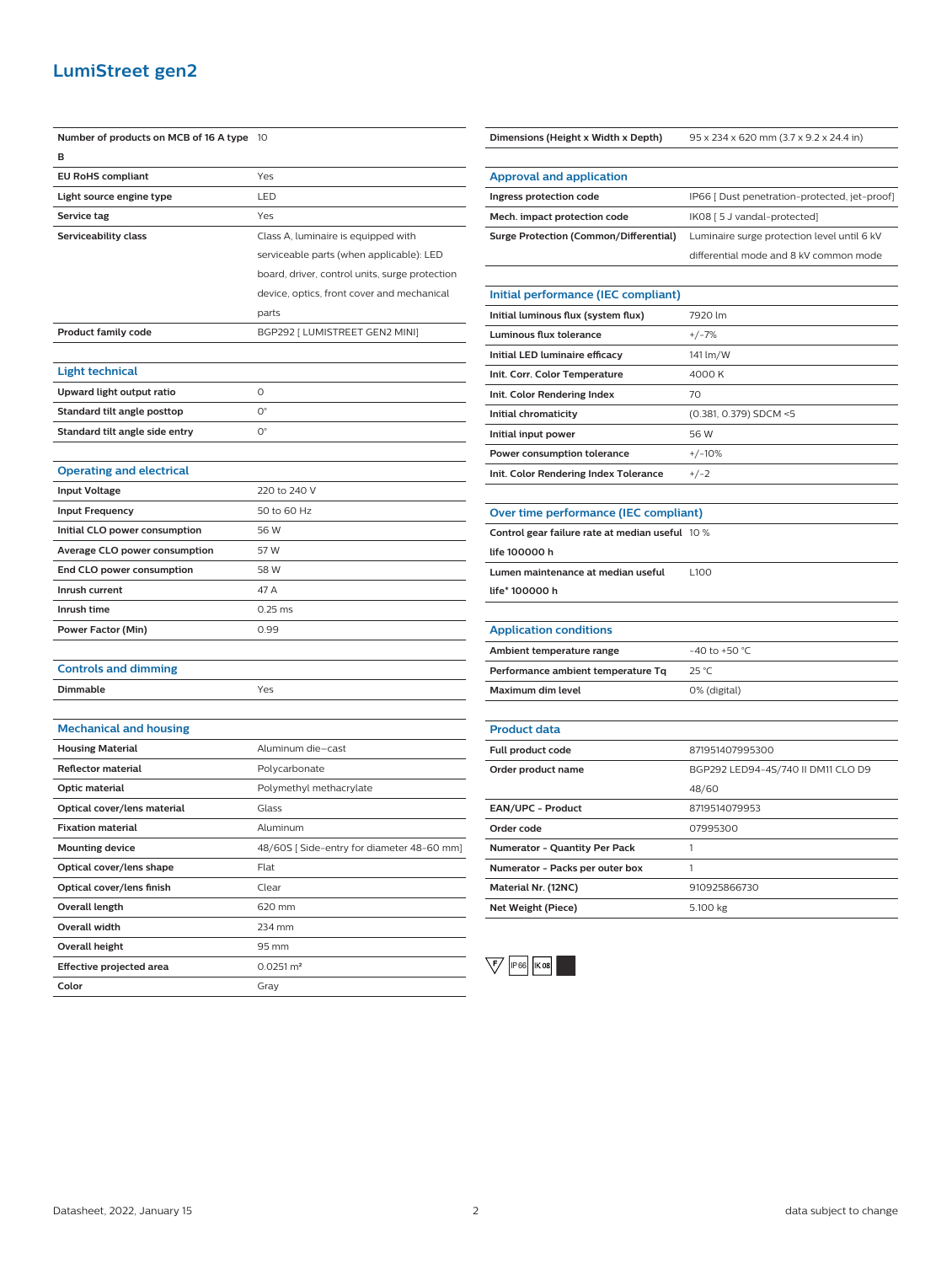### **LumiStreet gen2**

| Number of products on MCB of 16 A type | 10                                             |
|----------------------------------------|------------------------------------------------|
| в                                      |                                                |
| <b>EU RoHS compliant</b>               | Yes                                            |
| Light source engine type               | LED                                            |
| Service tag                            | Yes                                            |
| Serviceability class                   | Class A, luminaire is equipped with            |
|                                        | serviceable parts (when applicable): LED       |
|                                        | board, driver, control units, surge protection |
|                                        | device, optics, front cover and mechanical     |
|                                        | parts                                          |
| <b>Product family code</b>             | BGP292 [ LUMISTREET GEN2 MINI]                 |
|                                        |                                                |
| <b>Light technical</b>                 |                                                |
| Upward light output ratio              | 0                                              |
| Standard tilt angle posttop            | О°                                             |
| Standard tilt angle side entry         | $O^{\circ}$                                    |
|                                        |                                                |
| <b>Operating and electrical</b>        |                                                |
| <b>Input Voltage</b>                   | 220 to 240 V                                   |
| <b>Input Frequency</b>                 | 50 to 60 Hz                                    |
| Initial CLO power consumption          | 56 W                                           |
| Average CLO power consumption          | 57 W                                           |
| End CLO power consumption              | 58 W                                           |
| Inrush current                         | 47 A                                           |
| Inrush time                            | $0.25$ ms                                      |
| Power Factor (Min)                     | 0.99                                           |
|                                        |                                                |
| <b>Controls and dimming</b>            |                                                |
| Dimmable                               | Yes                                            |
|                                        |                                                |
| <b>Mechanical and housing</b>          |                                                |
| <b>Housing Material</b>                | Aluminum die-cast                              |
| <b>Reflector material</b>              | Polycarbonate                                  |
| Optic material                         | Polymethyl methacrylate                        |
| Optical cover/lens material            | Glass                                          |
| <b>Fixation material</b>               | Aluminum                                       |
| <b>Mounting device</b>                 | 48/60S [ Side-entry for diameter 48-60 mm]     |
| Optical cover/lens shape               | Flat                                           |
| Optical cover/lens finish              | Clear                                          |
| Overall length                         | 620 mm                                         |
| <b>Overall width</b>                   | 234 mm                                         |
| Overall height                         | 95 mm                                          |
| Effective projected area               | $0.0251 \, \text{m}^2$                         |
| Color                                  | Gray                                           |

**Mech. impact protection code** IK08 [5 J vandal-protected] **Surge Protection (Common/Differential)** Luminaire surge protection level until 6 kV differential mode and 8 kV common mode **Initial performance (IEC compliant) Initial luminous flux (system flux)** 7920 lm **Luminous flux tolerance** +/-7% **Initial LED luminaire efficacy** 141 lm/W **Init. Corr. Color Temperature** 4000 K **Init. Color Rendering Index** 70 **Initial chromaticity** (0.381, 0.379) SDCM <5 **Initial input power** 56 W **Power consumption tolerance**  $+/-10\%$ **Init. Color Rendering Index Tolerance** +/-2 **Over time performance (IEC compliant) Control gear failure rate at median useful** 10 % **life 100000 h Lumen maintenance at median useful life\* 100000 h**  $\overline{100}$ **Application conditions Ambient temperature range**  $-40$  to +50 °C **Performance ambient temperature Tq** 25 °C **Maximum dim level** 0% (digital) **Product data Full product code** 871951407995300 **Order product name** BGP292 LED94-4S/740 II DM11 CLO D9 48/60 **EAN/UPC - Product** 8719514079953 **Order code** 07995300 **Numerator - Quantity Per Pack** 1

**Dimensions (Height x Width x Depth)** 95 x 234 x 620 mm (3.7 x 9.2 x 24.4 in)

**Ingress protection code** IP66 [ Dust penetration-protected, jet-proof]

**Approval and application**



**Numerator - Packs per outer box** 1

**Material Nr. (12NC)** 910925866730 **Net Weight (Piece)** 5.100 kg